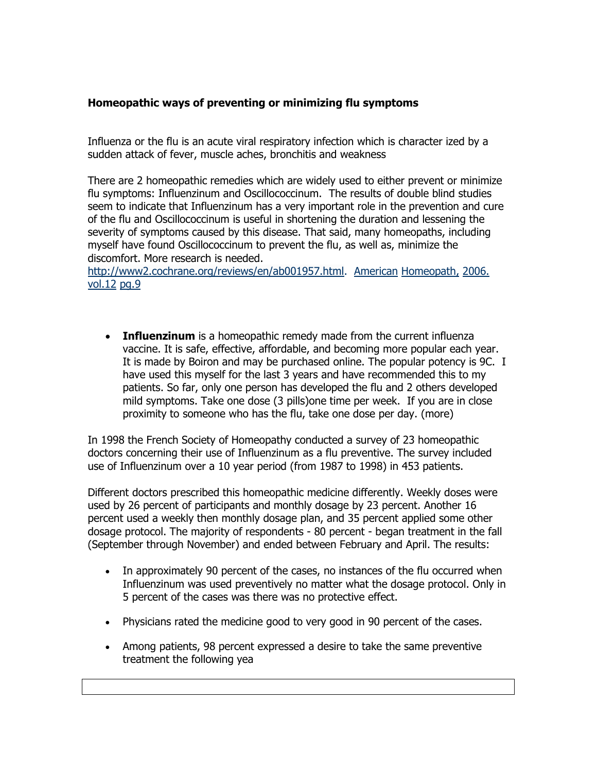## **Homeopathic ways of preventing or minimizing flu symptoms**

Influenza or the flu is an acute viral respiratory infection which is character ized by a sudden attack of fever, muscle aches, bronchitis and weakness

There are 2 homeopathic remedies which are widely used to either prevent or minimize flu symptoms: Influenzinum and Oscillococcinum. The results of double blind studies seem to indicate that Influenzinum has a very important role in the prevention and cure of the flu and Oscillococcinum is useful in shortening the duration and lessening the severity of symptoms caused by this disease. That said, many homeopaths, including myself have found Oscillococcinum to prevent the flu, as well as, minimize the discomfort. More research is needed.

[http://www2.cochrane.org/reviews/en/ab001957.html.](http://www2.cochrane.org/reviews/en/ab001957.html) American Homeopath, 2006. vol.12 pg.9

 **Influenzinum** is a homeopathic remedy made from the current influenza vaccine. It is safe, effective, affordable, and becoming more popular each year. It is made by Boiron and may be purchased online. The popular potency is 9C. I have used this myself for the last 3 years and have recommended this to my patients. So far, only one person has developed the flu and 2 others developed mild symptoms. Take one dose (3 pills)one time per week. If you are in close proximity to someone who has the flu, take one dose per day. (more)

In 1998 the French Society of Homeopathy conducted a survey of 23 homeopathic doctors concerning their use of Influenzinum as a flu preventive. The survey included use of Influenzinum over a 10 year period (from 1987 to 1998) in 453 patients.

Different doctors prescribed this homeopathic medicine differently. Weekly doses were used by 26 percent of participants and monthly dosage by 23 percent. Another 16 percent used a weekly then monthly dosage plan, and 35 percent applied some other dosage protocol. The majority of respondents - 80 percent - began treatment in the fall (September through November) and ended between February and April. The results:

- In approximately 90 percent of the cases, no instances of the flu occurred when Influenzinum was used preventively no matter what the dosage protocol. Only in 5 percent of the cases was there was no protective effect.
- Physicians rated the medicine good to very good in 90 percent of the cases.
- Among patients, 98 percent expressed a desire to take the same preventive treatment the following yea